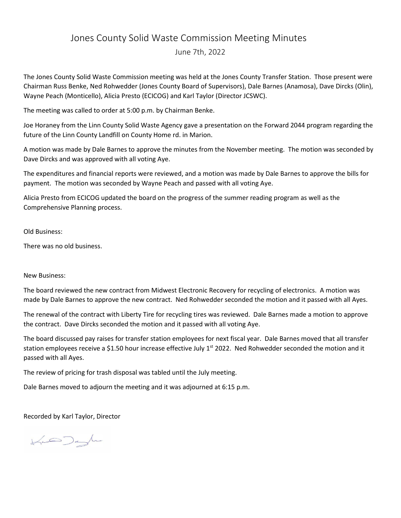## Jones County Solid Waste Commission Meeting Minutes

June 7th, 2022

The Jones County Solid Waste Commission meeting was held at the Jones County Transfer Station. Those present were Chairman Russ Benke, Ned Rohwedder (Jones County Board of Supervisors), Dale Barnes (Anamosa), Dave Dircks (Olin), Wayne Peach (Monticello), Alicia Presto (ECICOG) and Karl Taylor (Director JCSWC).

The meeting was called to order at 5:00 p.m. by Chairman Benke.

Joe Horaney from the Linn County Solid Waste Agency gave a presentation on the Forward 2044 program regarding the future of the Linn County Landfill on County Home rd. in Marion.

A motion was made by Dale Barnes to approve the minutes from the November meeting. The motion was seconded by Dave Dircks and was approved with all voting Aye.

The expenditures and financial reports were reviewed, and a motion was made by Dale Barnes to approve the bills for payment. The motion was seconded by Wayne Peach and passed with all voting Aye.

Alicia Presto from ECICOG updated the board on the progress of the summer reading program as well as the Comprehensive Planning process.

Old Business:

There was no old business.

## New Business:

The board reviewed the new contract from Midwest Electronic Recovery for recycling of electronics. A motion was made by Dale Barnes to approve the new contract. Ned Rohwedder seconded the motion and it passed with all Ayes.

The renewal of the contract with Liberty Tire for recycling tires was reviewed. Dale Barnes made a motion to approve the contract. Dave Dircks seconded the motion and it passed with all voting Aye.

The board discussed pay raises for transfer station employees for next fiscal year. Dale Barnes moved that all transfer station employees receive a \$1.50 hour increase effective July 1<sup>st</sup> 2022. Ned Rohwedder seconded the motion and it passed with all Ayes.

The review of pricing for trash disposal was tabled until the July meeting.

Dale Barnes moved to adjourn the meeting and it was adjourned at 6:15 p.m.

Recorded by Karl Taylor, Director

 $\forall \sim$